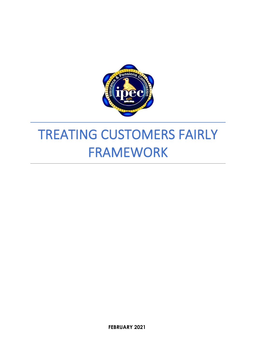

# TREATING CUSTOMERS FAIRLY FRAMEWORK

**FEBRUARY 2021**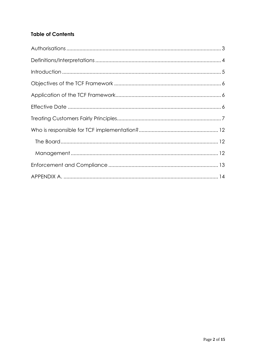# **Table of Contents**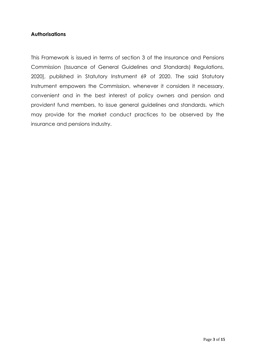#### **Authorisations**

This Framework is issued in terms of section 3 of the Insurance and Pensions Commission (Issuance of General Guidelines and Standards) Regulations, 2020], published in Statutory Instrument 69 of 2020. The said Statutory Instrument empowers the Commission, whenever it considers it necessary, convenient and in the best interest of policy owners and pension and provident fund members, to issue general guidelines and standards, which may provide for the market conduct practices to be observed by the insurance and pensions industry.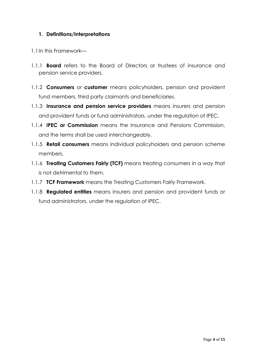#### **1. Definitions/Interpretations**

- 1.1In this Framework—
- 1.1.1 **Board** refers to the Board of Directors or trustees of insurance and pension service providers.
- 1.1.2 **Consumers** or **customer** means policyholders, pension and provident fund members, third party claimants and beneficiaries.
- 1.1.3 **Insurance and pension service providers** means insurers and pension and provident funds or fund administrators, under the regulation of IPEC.
- 1.1.4 **IPEC or Commission** means the Insurance and Pensions Commission, and the terms shall be used interchangeably.
- 1.1.5 **Retail consumers** means individual policyholders and pension scheme members.
- 1.1.6 **Treating Customers Fairly (TCF)** means treating consumers in a way that is not detrimental to them.
- 1.1.7 **TCF Framework** means the Treating Customers Fairly Framework.
- 1.1.8 **Regulated entities** means insurers and pension and provident funds or fund administrators, under the regulation of IPEC.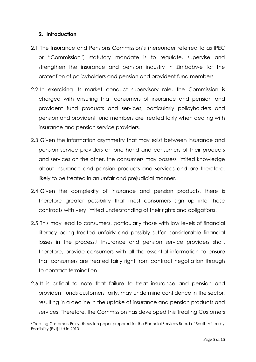#### **2. Introduction**

- 2.1 The Insurance and Pensions Commission's (hereunder referred to as IPEC or "Commission") statutory mandate is to regulate, supervise and strengthen the insurance and pension industry in Zimbabwe for the protection of policyholders and pension and provident fund members.
- 2.2 In exercising its market conduct supervisory role, the Commission is charged with ensuring that consumers of insurance and pension and provident fund products and services, particularly policyholders and pension and provident fund members are treated fairly when dealing with insurance and pension service providers.
- 2.3 Given the information asymmetry that may exist between insurance and pension service providers on one hand and consumers of their products and services on the other, the consumers may possess limited knowledge about insurance and pension products and services and are therefore, likely to be treated in an unfair and prejudicial manner.
- 2.4 Given the complexity of insurance and pension products, there is therefore greater possibility that most consumers sign up into these contracts with very limited understanding of their rights and obligations.
- 2.5 This may lead to consumers, particularly those with low levels of financial literacy being treated unfairly and possibly suffer considerable financial losses in the process.<sup>1</sup> Insurance and pension service providers shall, therefore, provide consumers with all the essential information to ensure that consumers are treated fairly right from contract negotiation through to contract termination.
- 2.6 It is critical to note that failure to treat insurance and pension and provident funds customers fairly, may undermine confidence in the sector, resulting in a decline in the uptake of insurance and pension products and services. Therefore, the Commission has developed this Treating Customers

<sup>&</sup>lt;sup>1</sup> Treating Customers Fairly discussion paper prepared for the Financial Services Board of South Africa by Feasibility (Pvt) Ltd in 2010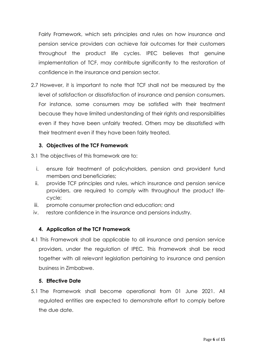Fairly Framework, which sets principles and rules on how insurance and pension service providers can achieve fair outcomes for their customers throughout the product life cycles. IPEC believes that genuine implementation of TCF, may contribute significantly to the restoration of confidence in the insurance and pension sector.

2.7 However, it is important to note that TCF shall not be measured by the level of satisfaction or dissatisfaction of insurance and pension consumers. For instance, some consumers may be satisfied with their treatment because they have limited understanding of their rights and responsibilities even if they have been unfairly treated. Others may be dissatisfied with their treatment even if they have been fairly treated.

# **3. Objectives of the TCF Framework**

- 3.1 The objectives of this framework are to:
	- i. ensure fair treatment of policyholders, pension and provident fund members and beneficiaries;
	- ii. provide TCF principles and rules, which insurance and pension service providers, are required to comply with throughout the product lifecycle;
	- iii. promote consumer protection and education; and
- iv. restore confidence in the insurance and pensions industry.

# **4. Application of the TCF Framework**

4.1 This Framework shall be applicable to all insurance and pension service providers, under the regulation of IPEC. This Framework shall be read together with all relevant legislation pertaining to insurance and pension business in Zimbabwe.

#### **5. Effective Date**

5.1 The Framework shall become operational from 01 June 2021. All regulated entities are expected to demonstrate effort to comply before the due date.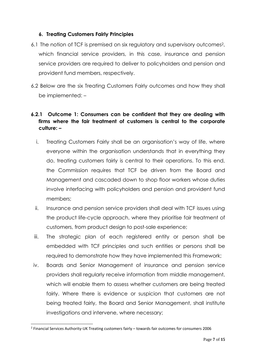### **6. Treating Customers Fairly Principles**

- 6.1 The notion of TCF is premised on six regulatory and supervisory outcomes2, which financial service providers, in this case, insurance and pension service providers are required to deliver to policyholders and pension and provident fund members, respectively.
- 6.2 Below are the six Treating Customers Fairly outcomes and how they shall be implemented: –

# **6.2.1 Outcome 1: Consumers can be confident that they are dealing with firms where the fair treatment of customers is central to the corporate culture: –**

- i. Treating Customers Fairly shall be an organisation's way of life, where everyone within the organisation understands that in everything they do, treating customers fairly is central to their operations. To this end, the Commission requires that TCF be driven from the Board and Management and cascaded down to shop floor workers whose duties involve interfacing with policyholders and pension and provident fund members;
- ii. Insurance and pension service providers shall deal with TCF issues using the product life-cycle approach, where they prioritise fair treatment of customers, from product design to post-sale experience;
- iii. The strategic plan of each registered entity or person shall be embedded with TCF principles and such entities or persons shall be required to demonstrate how they have implemented this Framework;
- iv. Boards and Senior Management of insurance and pension service providers shall regularly receive information from middle management, which will enable them to assess whether customers are being treated fairly. Where there is evidence or suspicion that customers are not being treated fairly, the Board and Senior Management, shall institute investigations and intervene, where necessary;

<sup>&</sup>lt;sup>2</sup> Financial Services Authority-UK Treating customers fairly – towards fair outcomes for consumers 2006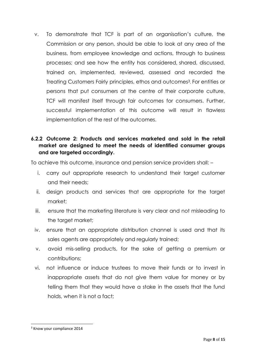v. To demonstrate that TCF is part of an organisation's culture, the Commission or any person, should be able to look at any area of the business, from employee knowledge and actions, through to business processes; and see how the entity has considered, shared, discussed, trained on, implemented, reviewed, assessed and recorded the Treating Customers Fairly principles, ethos and outcomes<sup>3</sup>. For entities or persons that put consumers at the centre of their corporate culture, TCF will manifest itself through fair outcomes for consumers. Further, successful implementation of this outcome will result in flawless implementation of the rest of the outcomes.

### **6.2.2 Outcome 2: Products and services marketed and sold in the retail market are designed to meet the needs of identified consumer groups and are targeted accordingly.**

To achieve this outcome, insurance and pension service providers shall: –

- i. carry out appropriate research to understand their target customer and their needs;
- ii. design products and services that are appropriate for the target market;
- iii. ensure that the marketing literature is very clear and not misleading to the target market:
- iv. ensure that an appropriate distribution channel is used and that its sales agents are appropriately and regularly trained;
- v. avoid mis-selling products, for the sake of getting a premium or contributions;
- vi. not influence or induce trustees to move their funds or to invest in inappropriate assets that do not give them value for money or by telling them that they would have a stake in the assets that the fund holds, when it is not a fact;

<sup>&</sup>lt;sup>3</sup> Know your compliance 2014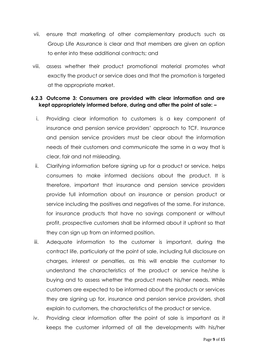- vii. ensure that marketing of other complementary products such as Group Life Assurance is clear and that members are given an option to enter into these additional contracts; and
- viii. assess whether their product promotional material promotes what exactly the product or service does and that the promotion is targeted at the appropriate market.

#### **6.2.3 Outcome 3: Consumers are provided with clear information and are kept appropriately informed before, during and after the point of sale: –**

- i. Providing clear information to customers is a key component of insurance and pension service providers' approach to TCF. Insurance and pension service providers must be clear about the information needs of their customers and communicate the same in a way that is clear, fair and not misleading.
- ii. Clarifying information before signing up for a product or service, helps consumers to make informed decisions about the product. It is therefore, important that insurance and pension service providers provide full information about an insurance or pension product or service including the positives and negatives of the same. For instance, for insurance products that have no savings component or without profit, prospective customers shall be informed about it upfront so that they can sign up from an informed position.
- iii. Adequate information to the customer is important, during the contract life, particularly at the point of sale, including full disclosure on charges, interest or penalties, as this will enable the customer to understand the characteristics of the product or service he/she is buying and to assess whether the product meets his/her needs. While customers are expected to be informed about the products or services they are signing up for, insurance and pension service providers, shall explain to customers, the characteristics of the product or service.
- iv. Providing clear information after the point of sale is important as it keeps the customer informed of all the developments with his/her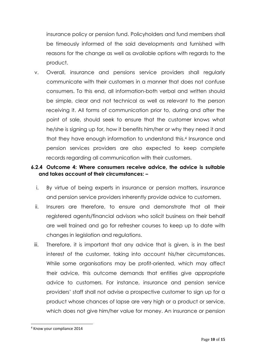insurance policy or pension fund. Policyholders and fund members shall be timeously informed of the said developments and furnished with reasons for the change as well as available options with regards to the product.

v. Overall, insurance and pensions service providers shall regularly communicate with their customers in a manner that does not confuse consumers. To this end, all information-both verbal and written should be simple, clear and not technical as well as relevant to the person receiving it. All forms of communication prior to, during and after the point of sale, should seek to ensure that the customer knows what he/she is signing up for, how it benefits him/her or why they need it and that they have enough information to understand this.<sup>4</sup> Insurance and pension services providers are also expected to keep complete records regarding all communication with their customers.

# **6.2.4 Outcome 4: Where consumers receive advice, the advice is suitable and takes account of their circumstances: –**

- i. By virtue of being experts in insurance or pension matters, insurance and pension service providers inherently provide advice to customers.
- ii. Insurers are therefore, to ensure and demonstrate that all their registered agents/financial advisors who solicit business on their behalf are well trained and go for refresher courses to keep up to date with changes in legislation and regulations.
- iii. Therefore, it is important that any advice that is given, is in the best interest of the customer, taking into account his/her circumstances. While some organisations may be profit-oriented, which may affect their advice, this outcome demands that entities give appropriate advice to customers. For instance, insurance and pension service providers' staff shall not advise a prospective customer to sign up for a product whose chances of lapse are very high or a product or service, which does not give him/her value for money. An insurance or pension

<sup>4</sup> Know your compliance 2014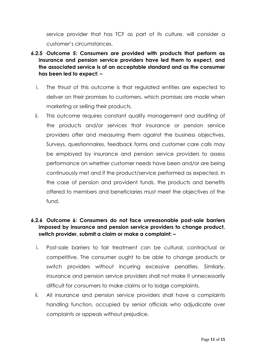service provider that has TCF as part of its culture, will consider a customer's circumstances.

- **6.2.5 Outcome 5: Consumers are provided with products that perform as insurance and pension service providers have led them to expect, and the associated service is of an acceptable standard and as the consumer has been led to expect: –**
	- i. The thrust of this outcome is that regulated entities are expected to deliver on their promises to customers, which promises are made when marketing or selling their products.
	- ii. This outcome requires constant quality management and auditing of the products and/or services that insurance or pension service providers offer and measuring them against the business objectives. Surveys, questionnaires, feedback forms and customer care calls may be employed by insurance and pension service providers to assess performance on whether customer needs have been and/or are being continuously met and if the product/service performed as expected. In the case of pension and provident funds, the products and benefits offered to members and beneficiaries must meet the objectives of the fund.

# **6.2.6 Outcome 6: Consumers do not face unreasonable post-sale barriers imposed by insurance and pension service providers to change product, switch provider, submit a claim or make a complaint: –**

- i. Post-sale barriers to fair treatment can be cultural, contractual or competitive. The consumer ought to be able to change products or switch providers without incurring excessive penalties. Similarly, insurance and pension service providers shall not make it unnecessarily difficult for consumers to make claims or to lodge complaints.
- ii. All insurance and pension service providers shall have a complaints handling function, occupied by senior officials who adjudicate over complaints or appeals without prejudice.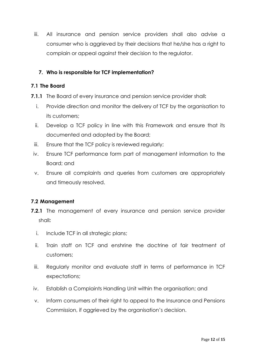iii. All insurance and pension service providers shall also advise a consumer who is aggrieved by their decisions that he/she has a right to complain or appeal against their decision to the regulator.

# **7. Who is responsible for TCF implementation?**

#### **7.1 The Board**

- **7.1.1** The Board of every insurance and pension service provider shall**:**
	- i. Provide direction and monitor the delivery of TCF by the organisation to its customers;
	- ii. Develop a TCF policy in line with this Framework and ensure that its documented and adopted by the Board;
	- iii. Ensure that the TCF policy is reviewed regularly;
	- iv. Ensure TCF performance form part of management information to the Board; and
	- v. Ensure all complaints and queries from customers are appropriately and timeously resolved.

#### **7.2 Management**

- **7.2.1** The management of every insurance and pension service provider shall**:**
	- i. Include TCF in all strategic plans;
	- ii. Train staff on TCF and enshrine the doctrine of fair treatment of customers;
	- iii. Regularly monitor and evaluate staff in terms of performance in TCF expectations;
- iv. Establish a Complaints Handling Unit within the organisation; and
- v. Inform consumers of their right to appeal to the Insurance and Pensions Commission, if aggrieved by the organisation's decision.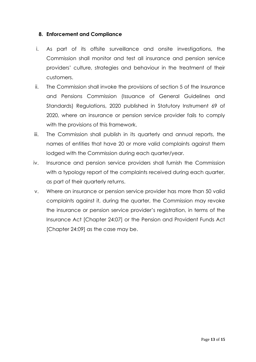#### **8. Enforcement and Compliance**

- i. As part of its offsite surveillance and onsite investigations, the Commission shall monitor and test all insurance and pension service providers' culture, strategies and behaviour in the treatment of their customers.
- ii. The Commission shall invoke the provisions of section 5 of the Insurance and Pensions Commission (Issuance of General Guidelines and Standards) Regulations, 2020 published in Statutory Instrument 69 of 2020, where an insurance or pension service provider fails to comply with the provisions of this framework.
- iii. The Commission shall publish in its quarterly and annual reports, the names of entities that have 20 or more valid complaints against them lodged with the Commission during each quarter/year.
- iv. Insurance and pension service providers shall furnish the Commission with a typology report of the complaints received during each quarter, as part of their quarterly returns.
- v. Where an insurance or pension service provider has more than 50 valid complaints against it, during the quarter, the Commission may revoke the insurance or pension service provider's registration, in terms of the Insurance Act [Chapter 24:07] or the Pension and Provident Funds Act [Chapter 24:09] as the case may be.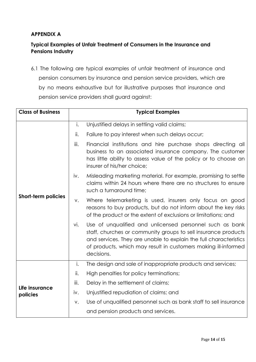# **APPENDIX A**

# **Typical Examples of Unfair Treatment of Consumers in the Insurance and Pensions Industry**

6.1 The following are typical examples of unfair treatment of insurance and pension consumers by insurance and pension service providers, which are by no means exhaustive but for illustrative purposes that insurance and pension service providers shall guard against:

| <b>Class of Business</b>   | <b>Typical Examples</b> |                                                                                                                                                                                                                                                                                 |  |
|----------------------------|-------------------------|---------------------------------------------------------------------------------------------------------------------------------------------------------------------------------------------------------------------------------------------------------------------------------|--|
| <b>Short-term policies</b> | i.                      | Unjustified delays in settling valid claims;                                                                                                                                                                                                                                    |  |
|                            | ii.                     | Failure to pay interest when such delays occur;                                                                                                                                                                                                                                 |  |
|                            | iii.                    | Financial institutions and hire purchase shops directing all<br>business to an associated insurance company. The customer<br>has little ability to assess value of the policy or to choose an<br>insurer of his/her choice;                                                     |  |
|                            | iv.                     | Misleading marketing material. For example, promising to settle<br>claims within 24 hours where there are no structures to ensure<br>such a turnaround time;                                                                                                                    |  |
|                            | V.                      | Where telemarketing is used, insurers only focus on good<br>reasons to buy products, but do not inform about the key risks<br>of the product or the extent of exclusions or limitations; and                                                                                    |  |
|                            | vi.                     | Use of unqualified and unlicensed personnel such as bank<br>staff, churches or community groups to sell insurance products<br>and services. They are unable to explain the full characteristics<br>of products, which may result in customers making ill-informed<br>decisions. |  |
| Life insurance<br>policies | i.                      | The design and sale of inappropriate products and services;                                                                                                                                                                                                                     |  |
|                            | ii.                     | High penalties for policy terminations;                                                                                                                                                                                                                                         |  |
|                            | iii.                    | Delay in the settlement of claims;                                                                                                                                                                                                                                              |  |
|                            | iv.                     | Unjustified repudiation of claims; and                                                                                                                                                                                                                                          |  |
|                            | V.                      | Use of unqualified personnel such as bank staff to sell insurance                                                                                                                                                                                                               |  |
|                            |                         | and pension products and services.                                                                                                                                                                                                                                              |  |